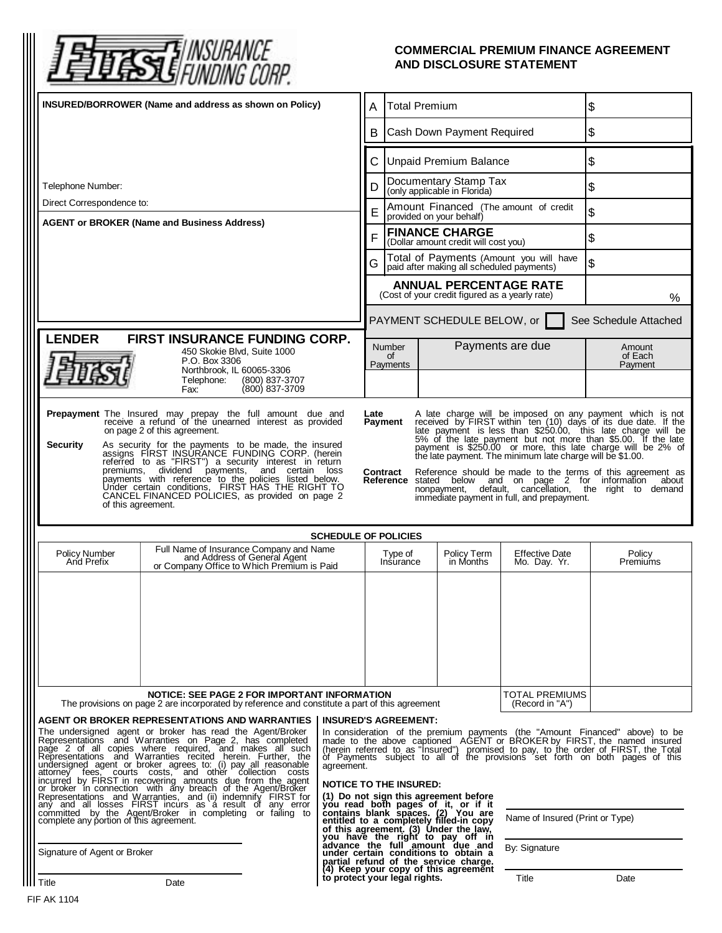

## **COMMERCIAL PREMIUM FINANCE AGREEMENT AND DISCLOSURE STATEMENT**

| INSURED/BORROWER (Name and address as shown on Policy)                                                                                                                                                                                                                                                                                                                                                                                                                                                                                                                                                                                                                                                                                                                                                                                                                                                                                                                                                                                                                                                                                                                                                                                                                                                                                                                                                    |                                                                                                                       |  | <b>Total Premium</b><br>A                                                                                                                                                                                                             |                                                                   | $\boldsymbol{\mathsf{S}}$             |                              |  |
|-----------------------------------------------------------------------------------------------------------------------------------------------------------------------------------------------------------------------------------------------------------------------------------------------------------------------------------------------------------------------------------------------------------------------------------------------------------------------------------------------------------------------------------------------------------------------------------------------------------------------------------------------------------------------------------------------------------------------------------------------------------------------------------------------------------------------------------------------------------------------------------------------------------------------------------------------------------------------------------------------------------------------------------------------------------------------------------------------------------------------------------------------------------------------------------------------------------------------------------------------------------------------------------------------------------------------------------------------------------------------------------------------------------|-----------------------------------------------------------------------------------------------------------------------|--|---------------------------------------------------------------------------------------------------------------------------------------------------------------------------------------------------------------------------------------|-------------------------------------------------------------------|---------------------------------------|------------------------------|--|
|                                                                                                                                                                                                                                                                                                                                                                                                                                                                                                                                                                                                                                                                                                                                                                                                                                                                                                                                                                                                                                                                                                                                                                                                                                                                                                                                                                                                           |                                                                                                                       |  | B                                                                                                                                                                                                                                     | Cash Down Payment Required                                        |                                       | \$                           |  |
|                                                                                                                                                                                                                                                                                                                                                                                                                                                                                                                                                                                                                                                                                                                                                                                                                                                                                                                                                                                                                                                                                                                                                                                                                                                                                                                                                                                                           |                                                                                                                       |  | C                                                                                                                                                                                                                                     | <b>Unpaid Premium Balance</b>                                     | \$                                    |                              |  |
| Telephone Number:                                                                                                                                                                                                                                                                                                                                                                                                                                                                                                                                                                                                                                                                                                                                                                                                                                                                                                                                                                                                                                                                                                                                                                                                                                                                                                                                                                                         |                                                                                                                       |  | D                                                                                                                                                                                                                                     | Documentary Stamp Tax<br>(only applicable in Florida)             |                                       | \$                           |  |
| Direct Correspondence to:<br><b>AGENT or BROKER (Name and Business Address)</b>                                                                                                                                                                                                                                                                                                                                                                                                                                                                                                                                                                                                                                                                                                                                                                                                                                                                                                                                                                                                                                                                                                                                                                                                                                                                                                                           |                                                                                                                       |  | E                                                                                                                                                                                                                                     | Amount Financed (The amount of credit<br>provided on your behalf) |                                       | \$                           |  |
|                                                                                                                                                                                                                                                                                                                                                                                                                                                                                                                                                                                                                                                                                                                                                                                                                                                                                                                                                                                                                                                                                                                                                                                                                                                                                                                                                                                                           |                                                                                                                       |  | <b>FINANCE CHARGE</b><br>F<br>(Dollar amount credit will cost you)                                                                                                                                                                    |                                                                   | \$                                    |                              |  |
|                                                                                                                                                                                                                                                                                                                                                                                                                                                                                                                                                                                                                                                                                                                                                                                                                                                                                                                                                                                                                                                                                                                                                                                                                                                                                                                                                                                                           |                                                                                                                       |  | Total of Payments (Amount you will have<br>paid after making all scheduled payments)<br>G                                                                                                                                             |                                                                   |                                       | \$                           |  |
|                                                                                                                                                                                                                                                                                                                                                                                                                                                                                                                                                                                                                                                                                                                                                                                                                                                                                                                                                                                                                                                                                                                                                                                                                                                                                                                                                                                                           |                                                                                                                       |  | <b>ANNUAL PERCENTAGE RATE</b><br>(Cost of your credit figured as a yearly rate)                                                                                                                                                       |                                                                   |                                       | $\%$                         |  |
|                                                                                                                                                                                                                                                                                                                                                                                                                                                                                                                                                                                                                                                                                                                                                                                                                                                                                                                                                                                                                                                                                                                                                                                                                                                                                                                                                                                                           |                                                                                                                       |  |                                                                                                                                                                                                                                       | PAYMENT SCHEDULE BELOW, or<br>See Schedule Attached               |                                       |                              |  |
| <b>LENDER</b><br><b>FIRST INSURANCE FUNDING CORP.</b><br>450 Skokie Blvd, Suite 1000<br>P.O. Box 3306                                                                                                                                                                                                                                                                                                                                                                                                                                                                                                                                                                                                                                                                                                                                                                                                                                                                                                                                                                                                                                                                                                                                                                                                                                                                                                     |                                                                                                                       |  | Number<br>of<br>Payments                                                                                                                                                                                                              |                                                                   | Payments are due                      | Amount<br>of Each<br>Payment |  |
| Northbrook, IL 60065-3306<br>Telephone:<br>(800) 837-3707<br>(800) 837-3709<br>Fax:                                                                                                                                                                                                                                                                                                                                                                                                                                                                                                                                                                                                                                                                                                                                                                                                                                                                                                                                                                                                                                                                                                                                                                                                                                                                                                                       |                                                                                                                       |  |                                                                                                                                                                                                                                       |                                                                   |                                       |                              |  |
| Prepayment The Insured may prepay the full amount due and<br>receive a refund of the unearned interest as provided<br>A late charge will be imposed on any payment which is not received by FIRST within $ten(10)$ days of its due date. If the<br>Payment<br>late payment is less than \$250.00, this late charge will be<br>5% of the late payment but not more than \$5.00. If the late<br>on page 2 of this agreement.<br><b>Security</b><br>As security for the payments to be made, the insured<br>assigns FIRST INSURANCE FUNDING CORP. (herein<br>referred to as "FIRST") a security interest in return<br>premiums, dividend payments, and certain loss<br>payment is \$250.00 or more, this late charge will be 2% of<br>the late payment. The minimum late charge will be \$1.00.<br>Reference should be made to the terms of this agreement as<br>Contract<br>payments with reference to the policies listed below.<br>Reference stated below and on page 2 for information about<br>Under certain conditions, FIRST HAS THE RIGHT TO<br>CANCEL FINANCED POLICIES, as provided on page 2<br>nonpayment, default, cancellation, the right to demand<br>immediate payment in full, and prepayment.<br>of this agreement.                                                                                                                                                                        |                                                                                                                       |  |                                                                                                                                                                                                                                       |                                                                   |                                       |                              |  |
| <b>SCHEDULE OF POLICIES</b>                                                                                                                                                                                                                                                                                                                                                                                                                                                                                                                                                                                                                                                                                                                                                                                                                                                                                                                                                                                                                                                                                                                                                                                                                                                                                                                                                                               |                                                                                                                       |  |                                                                                                                                                                                                                                       |                                                                   |                                       |                              |  |
| <b>Policy Number</b><br>And Prefix                                                                                                                                                                                                                                                                                                                                                                                                                                                                                                                                                                                                                                                                                                                                                                                                                                                                                                                                                                                                                                                                                                                                                                                                                                                                                                                                                                        | Full Name of Insurance Company and Name<br>and Address of General Agent<br>or Company Office to Which Premium is Paid |  | Type of<br>Insurance                                                                                                                                                                                                                  | Policy Term<br>in Months                                          | <b>Effective Date</b><br>Mo. Day. Yr. | Policy<br><b>Premiums</b>    |  |
|                                                                                                                                                                                                                                                                                                                                                                                                                                                                                                                                                                                                                                                                                                                                                                                                                                                                                                                                                                                                                                                                                                                                                                                                                                                                                                                                                                                                           |                                                                                                                       |  |                                                                                                                                                                                                                                       |                                                                   |                                       |                              |  |
| <b>NOTICE: SEE PAGE 2 FOR IMPORTANT INFORMATION</b><br><b>TOTAL PREMIUMS</b><br>The provisions on page 2 are incorporated by reference and constitute a part of this agreement<br>(Record in "A")                                                                                                                                                                                                                                                                                                                                                                                                                                                                                                                                                                                                                                                                                                                                                                                                                                                                                                                                                                                                                                                                                                                                                                                                         |                                                                                                                       |  |                                                                                                                                                                                                                                       |                                                                   |                                       |                              |  |
| AGENT OR BROKER REPRESENTATIONS AND WARRANTIES<br><b>INSURED'S AGREEMENT:</b><br>The undersigned agent or broker has read the Agent/Broker<br>In consideration of the premium payments (the "Amount Financed" above) to be<br>Representations and Warranties on Page 2, has completed<br>made to the above captioned AGENT or BROKER by FIRST, the named insured<br>(herein referred to as "Insured") promised to pay, to the order of FIRST, the Total<br>page 2 of all copies where required, and makes all such<br>Representations and Warranties recited herein. Further, the<br>of Payments subject to all of the provisions set forth on both pages of this<br>undersigned agent or broker agrees to: (i) pay all reasonable<br>agreement.<br>attorney fees, courts costs, and other collection costs<br>incurred by FIRST in recovering amounts due from the agent<br>or broker in connection, with any breach of the Agent/Broker<br><b>NOTICE TO THE INSURED:</b><br>(1) Do not sign this agreement before<br>Representations and Warranties, and (ii) indemnify FIRST for<br>any and all losses FIRST incurs as a result of any error committed by the Agent/Broker in completing or failing to<br>you read both pages of it, or if it contains blank spaces. (2) You are entitled to a completely filled-in copy<br>Name of Insured (Print or Type)<br>complete any portion of this agreement. |                                                                                                                       |  |                                                                                                                                                                                                                                       |                                                                   |                                       |                              |  |
| Signature of Agent or Broker                                                                                                                                                                                                                                                                                                                                                                                                                                                                                                                                                                                                                                                                                                                                                                                                                                                                                                                                                                                                                                                                                                                                                                                                                                                                                                                                                                              |                                                                                                                       |  | of this agreement. (3) Under the law,<br>you have the right to pay off in<br>advance the full amount due and<br>under certain conditions to obtain a<br>partial refund of the service charge.<br>(4) Keep your copy of this agreement |                                                                   |                                       | By: Signature                |  |
| ∣ Title<br>Date                                                                                                                                                                                                                                                                                                                                                                                                                                                                                                                                                                                                                                                                                                                                                                                                                                                                                                                                                                                                                                                                                                                                                                                                                                                                                                                                                                                           |                                                                                                                       |  | to protect your legal rights.                                                                                                                                                                                                         |                                                                   | Title                                 | Date                         |  |